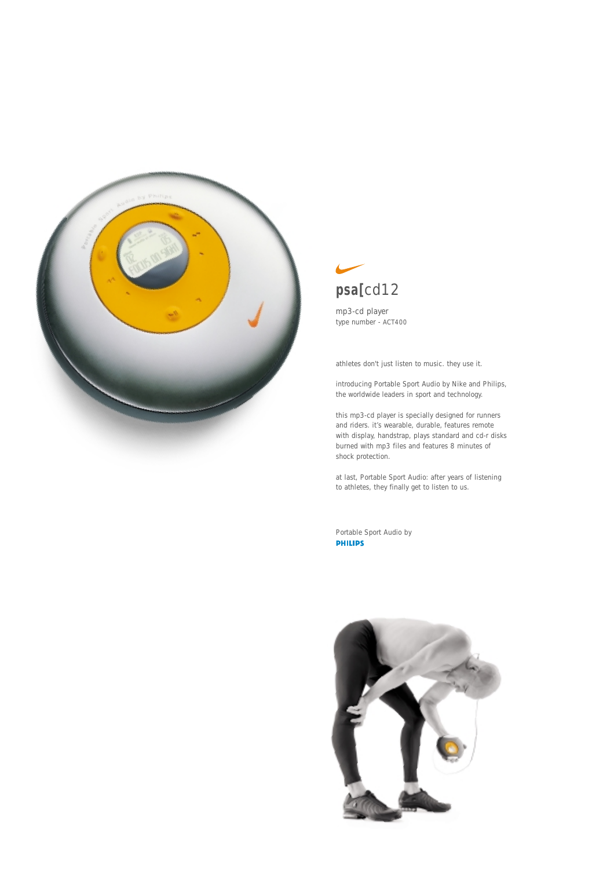

# **psa[**cd12

mp3-cd player type number - ACT400

athletes don't just listen to music. they use it.

introducing Portable Sport Audio by Nike and Philips, the worldwide leaders in sport and technology.

this mp3-cd player is specially designed for runners and riders. it's wearable, durable, features remote with display, handstrap, plays standard and cd-r disks burned with mp3 files and features 8 minutes of shock protection.

at last, Portable Sport Audio: after years of listening to athletes, they finally get to listen to us.

Portable Sport Audio by<br>**PHILIPS**